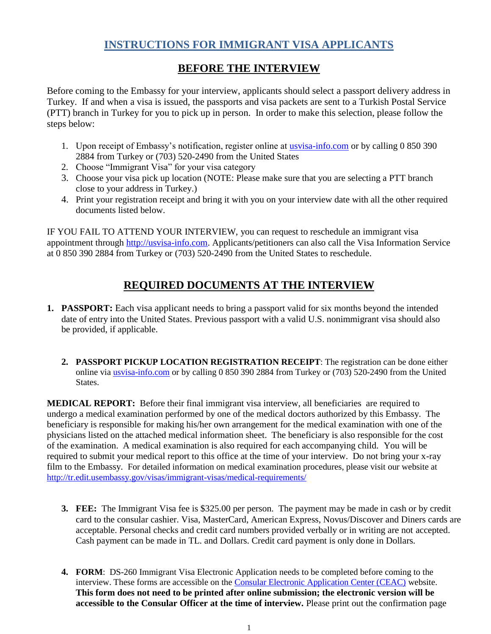# **INSTRUCTIONS FOR IMMIGRANT VISA APPLICANTS**

## **BEFORE THE INTERVIEW**

Before coming to the Embassy for your interview, applicants should select a passport delivery address in Turkey. If and when a visa is issued, the passports and visa packets are sent to a Turkish Postal Service (PTT) branch in Turkey for you to pick up in person. In order to make this selection, please follow the steps below:

- 1. Upon receipt of Embassy's notification, register online at *usvisa-info.com* or by calling 0 850 390 2884 from Turkey or (703) 520-2490 from the United States
- 2. Choose "Immigrant Visa" for your visa category
- 3. Choose your visa pick up location (NOTE: Please make sure that you are selecting a PTT branch close to your address in Turkey.)
- 4. Print your registration receipt and bring it with you on your interview date with all the other required documents listed below.

IF YOU FAIL TO ATTEND YOUR INTERVIEW, you can request to reschedule an immigrant visa appointment through [http://usvisa-info.com.](http://usvisa-info.com/) Applicants/petitioners can also call the Visa Information Service at 0 850 390 2884 from Turkey or (703) 520-2490 from the United States to reschedule.

# **REQUIRED DOCUMENTS AT THE INTERVIEW**

- **1. PASSPORT:** Each visa applicant needs to bring a passport valid for six months beyond the intended date of entry into the United States. Previous passport with a valid U.S. nonimmigrant visa should also be provided, if applicable.
	- **2. PASSPORT PICKUP LOCATION REGISTRATION RECEIPT**: The registration can be done either online via [usvisa-info.com](https://usvisa-info.com/) or by calling 0 850 390 2884 from Turkey or (703) 520-2490 from the United States.

**MEDICAL REPORT:** Before their final immigrant visa interview, all beneficiaries are required to undergo a medical examination performed by one of the medical doctors authorized by this Embassy. The beneficiary is responsible for making his/her own arrangement for the medical examination with one of the physicians listed on the attached medical information sheet. The beneficiary is also responsible for the cost of the examination. A medical examination is also required for each accompanying child. You will be required to submit your medical report to this office at the time of your interview. Do not bring your x-ray film to the Embassy. For detailed information on medical examination procedures, please visit our website at [http://tr.edit.usembassy.gov/visas/immigrant-visas/medical-requirements/](http://tr.usembassy.gov/visas/immigrant-visas/medical-requirements/)

- **3. FEE:** The Immigrant Visa fee is \$325.00 per person. The payment may be made in cash or by credit card to the consular cashier. Visa, MasterCard, American Express, Novus/Discover and Diners cards are acceptable. Personal checks and credit card numbers provided verbally or in writing are not accepted. Cash payment can be made in TL. and Dollars. Credit card payment is only done in Dollars.
- **4. FORM**: DS-260 Immigrant Visa Electronic Application needs to be completed before coming to the interview. These forms are accessible on the [Consular Electronic Application Center \(CEAC\)](http://ceac.state.gov/iv/) website. **This form does not need to be printed after online submission; the electronic version will be accessible to the Consular Officer at the time of interview.** Please print out the confirmation page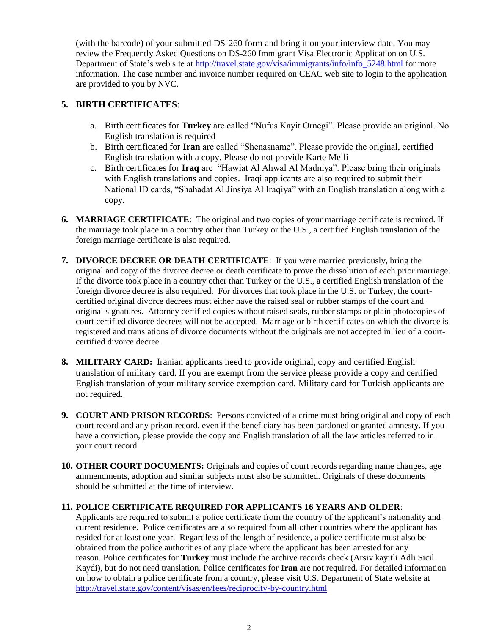(with the barcode) of your submitted DS-260 form and bring it on your interview date. You may review the Frequently Asked Questions on DS-260 Immigrant Visa Electronic Application on U.S. Department of State's web site at [http://travel.state.gov/visa/immigrants/info/info\\_5248.html](http://travel.state.gov/visa/immigrants/info/info_5248.html) for more information. The case number and invoice number required on CEAC web site to login to the application are provided to you by NVC.

#### **5. BIRTH CERTIFICATES**:

- a. Birth certificates for **Turkey** are called "Nufus Kayit Ornegi". Please provide an original. No English translation is required
- b. Birth certificated for **Iran** are called "Shenasname". Please provide the original, certified English translation with a copy. Please do not provide Karte Melli
- c. Birth certificates for **Iraq** are "Hawiat Al Ahwal Al Madniya". Please bring their originals with English translations and copies. Iraqi applicants are also required to submit their National ID cards, "Shahadat Al Jinsiya Al Iraqiya" with an English translation along with a copy.
- **6. MARRIAGE CERTIFICATE**: The original and two copies of your marriage certificate is required. If the marriage took place in a country other than Turkey or the U.S., a certified English translation of the foreign marriage certificate is also required.
- **7. DIVORCE DECREE OR DEATH CERTIFICATE**: If you were married previously, bring the original and copy of the divorce decree or death certificate to prove the dissolution of each prior marriage. If the divorce took place in a country other than Turkey or the U.S., a certified English translation of the foreign divorce decree is also required. For divorces that took place in the U.S. or Turkey, the courtcertified original divorce decrees must either have the raised seal or rubber stamps of the court and original signatures. Attorney certified copies without raised seals, rubber stamps or plain photocopies of court certified divorce decrees will not be accepted. Marriage or birth certificates on which the divorce is registered and translations of divorce documents without the originals are not accepted in lieu of a courtcertified divorce decree.
- **8. MILITARY CARD:** Iranian applicants need to provide original, copy and certified English translation of military card. If you are exempt from the service please provide a copy and certified English translation of your military service exemption card. Military card for Turkish applicants are not required.
- **9. COURT AND PRISON RECORDS:** Persons convicted of a crime must bring original and copy of each court record and any prison record, even if the beneficiary has been pardoned or granted amnesty. If you have a conviction, please provide the copy and English translation of all the law articles referred to in your court record.
- **10. OTHER COURT DOCUMENTS:** Originals and copies of court records regarding name changes, age ammendments, adoption and similar subjects must also be submitted. Originals of these documents should be submitted at the time of interview.

#### **11. POLICE CERTIFICATE REQUIRED FOR APPLICANTS 16 YEARS AND OLDER**:

Applicants are required to submit a police certificate from the country of the applicant's nationality and current residence. Police certificates are also required from all other countries where the applicant has resided for at least one year. Regardless of the length of residence, a police certificate must also be obtained from the police authorities of any place where the applicant has been arrested for any reason. Police certificates for **Turkey** must include the archive records check (Arsiv kayitli Adli Sicil Kaydi), but do not need translation. Police certificates for **Iran** are not required. For detailed information on how to obtain a police certificate from a country, please visit U.S. Department of State website at <http://travel.state.gov/content/visas/en/fees/reciprocity-by-country.html>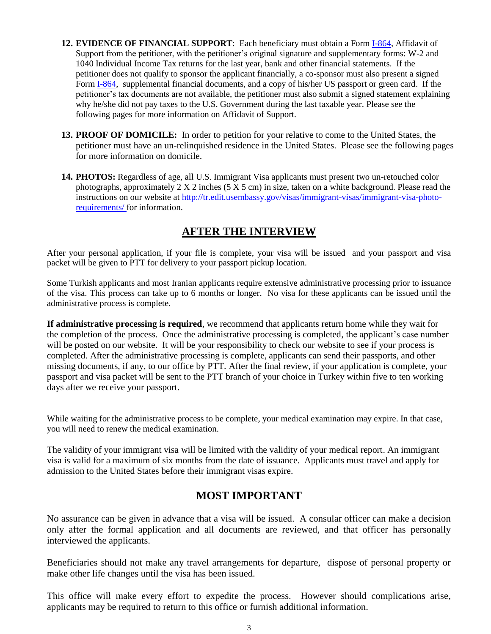- **12. EVIDENCE OF FINANCIAL SUPPORT**: Each beneficiary must obtain a Form [I-864,](http://www.uscis.gov/files/form/i-864.pdf) Affidavit of Support from the petitioner, with the petitioner's original signature and supplementary forms: W-2 and 1040 Individual Income Tax returns for the last year, bank and other financial statements. If the petitioner does not qualify to sponsor the applicant financially, a co-sponsor must also present a signed Form [I-864,](http://www.uscis.gov/files/form/i-864.pdf) supplemental financial documents, and a copy of his/her US passport or green card. If the petitioner's tax documents are not available, the petitioner must also submit a signed statement explaining why he/she did not pay taxes to the U.S. Government during the last taxable year. Please see the following pages for more information on Affidavit of Support.
- **13. PROOF OF DOMICILE:** In order to petition for your relative to come to the United States, the petitioner must have an un-relinquished residence in the United States. Please see the following pages for more information on domicile.
- **14. PHOTOS:** Regardless of age, all U.S. Immigrant Visa applicants must present two un-retouched color photographs, approximately  $2 X 2$  inches (5 X 5 cm) in size, taken on a white background. Please read the instructions on our website at [http://tr.edit.usembassy.gov/visas/immigrant-visas/immigrant-visa-photo](http://tr.usembassy.gov/visas/immigrant-visas/immigrant-visa-photo-requirements/)[requirements/](http://tr.usembassy.gov/visas/immigrant-visas/immigrant-visa-photo-requirements/) for information.

## **AFTER THE INTERVIEW**

After your personal application, if your file is complete, your visa will be issued and your passport and visa packet will be given to PTT for delivery to your passport pickup location.

Some Turkish applicants and most Iranian applicants require extensive administrative processing prior to issuance of the visa. This process can take up to 6 months or longer. No visa for these applicants can be issued until the administrative process is complete.

**If administrative processing is required**, we recommend that applicants return home while they wait for the completion of the process. Once the administrative processing is completed, the applicant's case number will be posted on our website. It will be your responsibility to check our website to see if your process is completed. After the administrative processing is complete, applicants can send their passports, and other missing documents, if any, to our office by PTT. After the final review, if your application is complete, your passport and visa packet will be sent to the PTT branch of your choice in Turkey within five to ten working days after we receive your passport.

While waiting for the administrative process to be complete, your medical examination may expire. In that case, you will need to renew the medical examination.

The validity of your immigrant visa will be limited with the validity of your medical report. An immigrant visa is valid for a maximum of six months from the date of issuance. Applicants must travel and apply for admission to the United States before their immigrant visas expire.

### **MOST IMPORTANT**

No assurance can be given in advance that a visa will be issued. A consular officer can make a decision only after the formal application and all documents are reviewed, and that officer has personally interviewed the applicants.

Beneficiaries should not make any travel arrangements for departure, dispose of personal property or make other life changes until the visa has been issued.

This office will make every effort to expedite the process. However should complications arise, applicants may be required to return to this office or furnish additional information.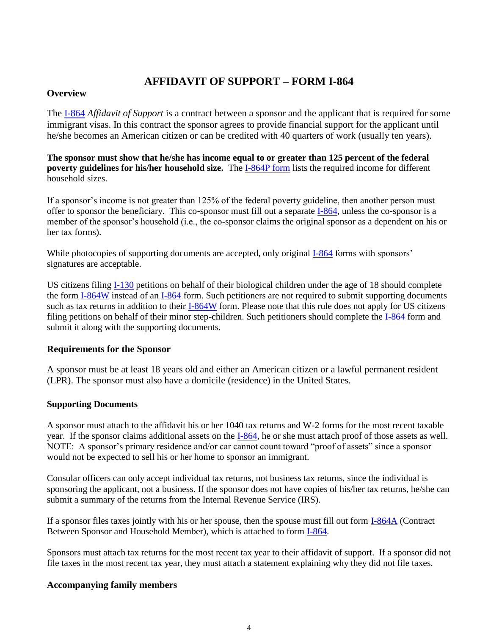### **AFFIDAVIT OF SUPPORT – FORM I-864**

#### **Overview**

The [I-864](http://www.uscis.gov/files/form/i-864.pdf) *Affidavit of Support* is a contract between a sponsor and the applicant that is required for some immigrant visas. In this contract the sponsor agrees to provide financial support for the applicant until he/she becomes an American citizen or can be credited with 40 quarters of work (usually ten years).

**The sponsor must show that he/she has income equal to or greater than 125 percent of the federal poverty guidelines for his/her household size.** The [I-864P form](http://www.uscis.gov/portal/site/uscis/menuitem.5af9bb95919f35e66f614176543f6d1a/?vgnextoid=73c63591ec04d010VgnVCM10000048f3d6a1RCRD&vgnextchannel=db029c7755cb9010VgnVCM10000045f3d6a1RCRD) lists the required income for different household sizes.

If a sponsor's income is not greater than 125% of the federal poverty guideline, then another person must offer to sponsor the beneficiary. This co-sponsor must fill out a separate [I-864,](http://www.uscis.gov/files/form/i-864.pdf) unless the co-sponsor is a member of the sponsor's household (i.e., the co-sponsor claims the original sponsor as a dependent on his or her tax forms).

While photocopies of supporting documents are accepted, only original [I-864](http://www.uscis.gov/files/form/i-864.pdf) forms with sponsors' signatures are acceptable.

US citizens filing [I-130](http://www.uscis.gov/files/form/i-130.pdf) petitions on behalf of their biological children under the age of 18 should complete the form [I-864W](http://www.uscis.gov/files/form/i-864w.pdf) instead of an [I-864](http://www.uscis.gov/files/form/i-864.pdf) form. Such petitioners are not required to submit supporting documents such as tax returns in addition to their [I-864W](http://www.uscis.gov/files/form/i-864w.pdf) form. Please note that this rule does not apply for US citizens filing petitions on behalf of their minor step-children. Such petitioners should complete the [I-864](http://www.uscis.gov/files/form/i-864.pdf) form and submit it along with the supporting documents.

#### **Requirements for the Sponsor**

A sponsor must be at least 18 years old and either an American citizen or a lawful permanent resident (LPR). The sponsor must also have a domicile (residence) in the United States.

#### **Supporting Documents**

A sponsor must attach to the affidavit his or her 1040 tax returns and W-2 forms for the most recent taxable year. If the sponsor claims additional assets on the [I-864,](http://www.uscis.gov/files/form/i-864.pdf) he or she must attach proof of those assets as well. NOTE: A sponsor's primary residence and/or car cannot count toward "proof of assets" since a sponsor would not be expected to sell his or her home to sponsor an immigrant.

Consular officers can only accept individual tax returns, not business tax returns, since the individual is sponsoring the applicant, not a business. If the sponsor does not have copies of his/her tax returns, he/she can submit a summary of the returns from the Internal Revenue Service (IRS).

If a sponsor files taxes jointly with his or her spouse, then the spouse must fill out form [I-864A](http://www.uscis.gov/files/form/i-864a.pdf) (Contract Between Sponsor and Household Member), which is attached to form [I-864.](http://www.uscis.gov/files/form/i-864.pdf)

Sponsors must attach tax returns for the most recent tax year to their affidavit of support. If a sponsor did not file taxes in the most recent tax year, they must attach a statement explaining why they did not file taxes.

#### **Accompanying family members**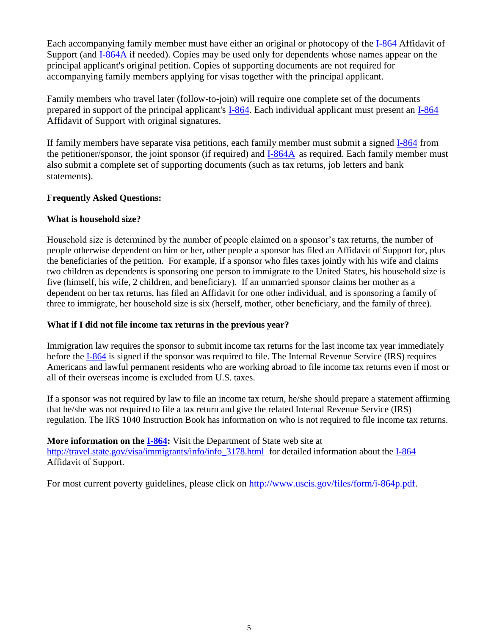Each accompanying family member must have either an original or photocopy of the [I-864](http://www.uscis.gov/files/form/i-864.pdf) Affidavit of Support (and [I-864A](http://www.uscis.gov/files/form/i-864a.pdf) if needed). Copies may be used only for dependents whose names appear on the principal applicant's original petition. Copies of supporting documents are not required for accompanying family members applying for visas together with the principal applicant.

Family members who travel later (follow-to-join) will require one complete set of the documents prepared in support of the principal applicant's [I-864.](http://www.uscis.gov/files/form/i-864.pdf) Each individual applicant must present an [I-864](http://www.uscis.gov/files/form/i-864.pdf) Affidavit of Support with original signatures.

If family members have separate visa petitions, each family member must submit a signed [I-864](http://www.uscis.gov/files/form/i-864.pdf) from the petitioner/sponsor, the joint sponsor (if required) and [I-864A](http://www.uscis.gov/files/form/i-864a.pdf) as required. Each family member must also submit a complete set of supporting documents (such as tax returns, job letters and bank statements).

#### **Frequently Asked Questions:**

#### **What is household size?**

Household size is determined by the number of people claimed on a sponsor's tax returns, the number of people otherwise dependent on him or her, other people a sponsor has filed an Affidavit of Support for, plus the beneficiaries of the petition. For example, if a sponsor who files taxes jointly with his wife and claims two children as dependents is sponsoring one person to immigrate to the United States, his household size is five (himself, his wife, 2 children, and beneficiary). If an unmarried sponsor claims her mother as a dependent on her tax returns, has filed an Affidavit for one other individual, and is sponsoring a family of three to immigrate, her household size is six (herself, mother, other beneficiary, and the family of three).

#### **What if I did not file income tax returns in the previous year?**

Immigration law requires the sponsor to submit income tax returns for the last income tax year immediately before the [I-864](http://www.uscis.gov/files/form/i-864.pdf) is signed if the sponsor was required to file. The Internal Revenue Service (IRS) requires Americans and lawful permanent residents who are working abroad to file income tax returns even if most or all of their overseas income is excluded from U.S. taxes.

If a sponsor was not required by law to file an income tax return, he/she should prepare a statement affirming that he/she was not required to file a tax return and give the related Internal Revenue Service (IRS) regulation. The IRS 1040 Instruction Book has information on who is not required to file income tax returns.

**Moreinformation on the <b>I-864:** Visit the Department of State web site at [http://travel.state.gov/visa/immigrants/info/info\\_3178.html](http://travel.state.gov/i864gen.html) for detailed information about the [I-864](http://www.uscis.gov/files/form/i-864.pdf) Affidavit of Support.

For most current poverty guidelines, please click on [http://www.uscis.gov/files/form/i-864p.pdf.](http://www.uscis.gov/files/form/i-864p.pdf)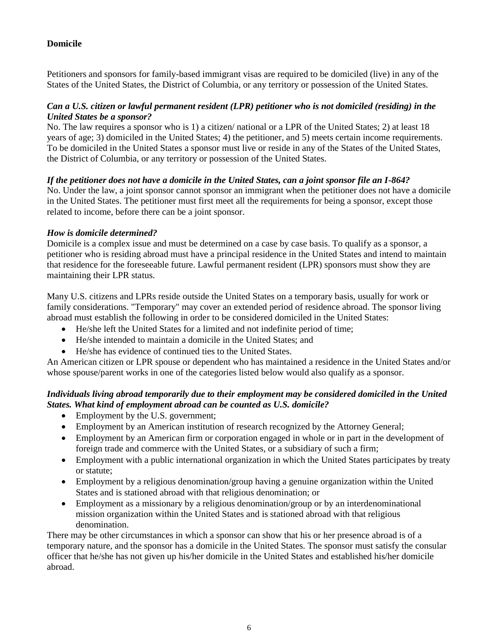#### **Domicile**

Petitioners and sponsors for family-based immigrant visas are required to be domiciled (live) in any of the States of the United States, the District of Columbia, or any territory or possession of the United States.

#### *Can a U.S. citizen or lawful permanent resident (LPR) petitioner who is not domiciled (residing) in the United States be a sponsor?*

No. The law requires a sponsor who is 1) a citizen/ national or a LPR of the United States; 2) at least 18 years of age; 3) domiciled in the United States; 4) the petitioner, and 5) meets certain income requirements. To be domiciled in the United States a sponsor must live or reside in any of the States of the United States, the District of Columbia, or any territory or possession of the United States.

#### *If the petitioner does not have a domicile in the United States, can a joint sponsor file an I-864?*

No. Under the law, a joint sponsor cannot sponsor an immigrant when the petitioner does not have a domicile in the United States. The petitioner must first meet all the requirements for being a sponsor, except those related to income, before there can be a joint sponsor.

#### *How is domicile determined?*

Domicile is a complex issue and must be determined on a case by case basis. To qualify as a sponsor, a petitioner who is residing abroad must have a principal residence in the United States and intend to maintain that residence for the foreseeable future. Lawful permanent resident (LPR) sponsors must show they are maintaining their LPR status.

Many U.S. citizens and LPRs reside outside the United States on a temporary basis, usually for work or family considerations. "Temporary" may cover an extended period of residence abroad. The sponsor living abroad must establish the following in order to be considered domiciled in the United States:

- He/she left the United States for a limited and not indefinite period of time;
- He/she intended to maintain a domicile in the United States; and
- He/she has evidence of continued ties to the United States.

An American citizen or LPR spouse or dependent who has maintained a residence in the United States and/or whose spouse/parent works in one of the categories listed below would also qualify as a sponsor.

#### *Individuals living abroad temporarily due to their employment may be considered domiciled in the United States. What kind of employment abroad can be counted as U.S. domicile?*

- Employment by the U.S. government;
- Employment by an American institution of research recognized by the Attorney General;
- Employment by an American firm or corporation engaged in whole or in part in the development of foreign trade and commerce with the United States, or a subsidiary of such a firm;
- Employment with a public international organization in which the United States participates by treaty or statute;
- Employment by a religious denomination/group having a genuine organization within the United States and is stationed abroad with that religious denomination; or
- Employment as a missionary by a religious denomination/group or by an interdenominational mission organization within the United States and is stationed abroad with that religious denomination.

There may be other circumstances in which a sponsor can show that his or her presence abroad is of a temporary nature, and the sponsor has a domicile in the United States. The sponsor must satisfy the consular officer that he/she has not given up his/her domicile in the United States and established his/her domicile abroad.